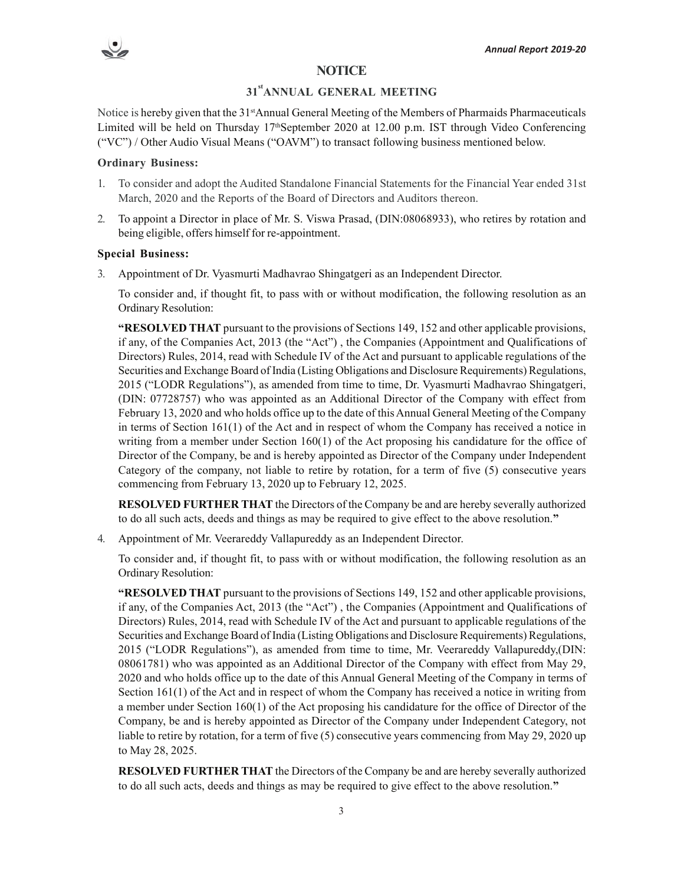## **NOTICE**

# **31stANNUAL GENERAL MEETING**

Notice is hereby given that the 31<sup>st</sup>Annual General Meeting of the Members of Pharmaids Pharmaceuticals Limited will be held on Thursday  $17<sup>th</sup>$ September 2020 at 12.00 p.m. IST through Video Conferencing ("VC") / Other Audio Visual Means ("OAVM") to transact following business mentioned below.

#### **Ordinary Business:**

- 1. To consider and adopt the Audited Standalone Financial Statements for the Financial Year ended 31st March, 2020 and the Reports of the Board of Directors and Auditors thereon.
- 2. To appoint a Director in place of Mr. S. Viswa Prasad, (DIN:08068933), who retires by rotation and being eligible, offers himself for re-appointment.

#### **Special Business:**

3. Appointment of Dr. Vyasmurti Madhavrao Shingatgeri as an Independent Director.

To consider and, if thought fit, to pass with or without modification, the following resolution as an Ordinary Resolution:

**"RESOLVED THAT** pursuant to the provisions of Sections 149, 152 and other applicable provisions, if any, of the Companies Act, 2013 (the "Act") , the Companies (Appointment and Qualifications of Directors) Rules, 2014, read with Schedule IV of the Act and pursuant to applicable regulations of the Securities and Exchange Board of India (Listing Obligations and Disclosure Requirements) Regulations, 2015 ("LODR Regulations"), as amended from time to time, Dr. Vyasmurti Madhavrao Shingatgeri, (DIN: 07728757) who was appointed as an Additional Director of the Company with effect from February 13, 2020 and who holds office up to the date of this Annual General Meeting of the Company in terms of Section 161(1) of the Act and in respect of whom the Company has received a notice in writing from a member under Section 160(1) of the Act proposing his candidature for the office of Director of the Company, be and is hereby appointed as Director of the Company under Independent Category of the company, not liable to retire by rotation, for a term of five (5) consecutive years commencing from February 13, 2020 up to February 12, 2025.

**RESOLVED FURTHER THAT** the Directors of the Company be and are hereby severally authorized to do all such acts, deeds and things as may be required to give effect to the above resolution.**"**

4. Appointment of Mr. Veerareddy Vallapureddy as an Independent Director.

To consider and, if thought fit, to pass with or without modification, the following resolution as an Ordinary Resolution:

**"RESOLVED THAT** pursuant to the provisions of Sections 149, 152 and other applicable provisions, if any, of the Companies Act, 2013 (the "Act") , the Companies (Appointment and Qualifications of Directors) Rules, 2014, read with Schedule IV of the Act and pursuant to applicable regulations of the Securities and Exchange Board of India (Listing Obligations and Disclosure Requirements) Regulations, 2015 ("LODR Regulations"), as amended from time to time, Mr. Veerareddy Vallapureddy,(DIN: 08061781) who was appointed as an Additional Director of the Company with effect from May 29, 2020 and who holds office up to the date of this Annual General Meeting of the Company in terms of Section 161(1) of the Act and in respect of whom the Company has received a notice in writing from a member under Section 160(1) of the Act proposing his candidature for the office of Director of the Company, be and is hereby appointed as Director of the Company under Independent Category, not liable to retire by rotation, for a term of five (5) consecutive years commencing from May 29, 2020 up to May 28, 2025.

**RESOLVED FURTHER THAT** the Directors of the Company be and are hereby severally authorized to do all such acts, deeds and things as may be required to give effect to the above resolution.**"**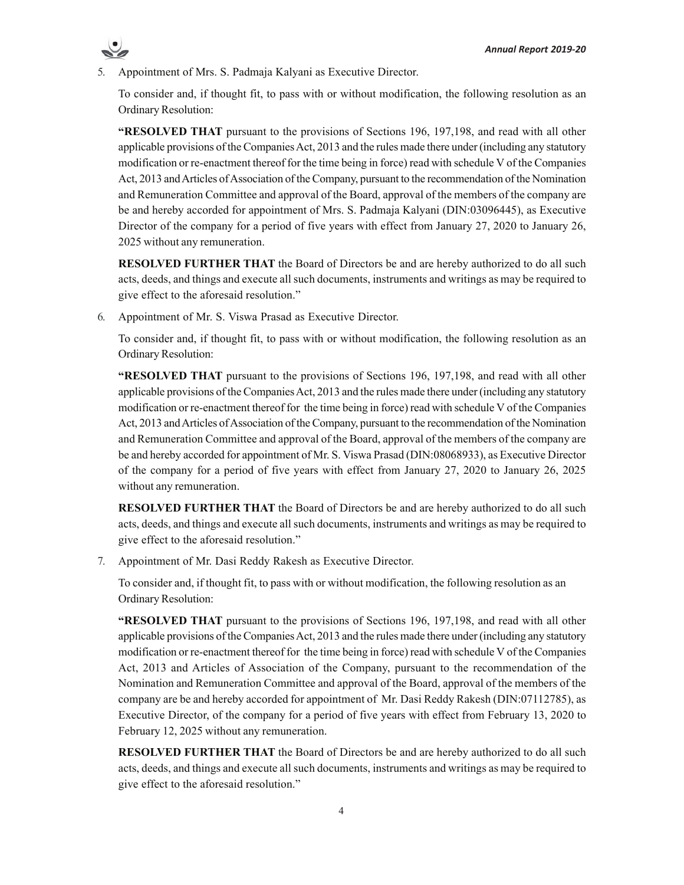

5. Appointment of Mrs. S. Padmaja Kalyani as Executive Director.

To consider and, if thought fit, to pass with or without modification, the following resolution as an Ordinary Resolution:

**"RESOLVED THAT** pursuant to the provisions of Sections 196, 197,198, and read with all other applicable provisions of the Companies Act, 2013 and the rules made there under (including any statutory modification or re-enactment thereof for the time being in force) read with schedule V of the Companies Act, 2013 and Articles of Association of the Company, pursuant to the recommendation of the Nomination and Remuneration Committee and approval of the Board, approval of the members of the company are be and hereby accorded for appointment of Mrs. S. Padmaja Kalyani (DIN:03096445), as Executive Director of the company for a period of five years with effect from January 27, 2020 to January 26, 2025 without any remuneration.

**RESOLVED FURTHER THAT** the Board of Directors be and are hereby authorized to do all such acts, deeds, and things and execute all such documents, instruments and writings as may be required to give effect to the aforesaid resolution."

6. Appointment of Mr. S. Viswa Prasad as Executive Director.

To consider and, if thought fit, to pass with or without modification, the following resolution as an Ordinary Resolution:

**"RESOLVED THAT** pursuant to the provisions of Sections 196, 197,198, and read with all other applicable provisions of the Companies Act, 2013 and the rules made there under (including any statutory modification or re-enactment thereof for the time being in force) read with schedule V of the Companies Act, 2013 and Articles of Association of the Company, pursuant to the recommendation of the Nomination and Remuneration Committee and approval of the Board, approval of the members of the company are be and hereby accorded for appointment of Mr. S. Viswa Prasad (DIN:08068933), as Executive Director of the company for a period of five years with effect from January 27, 2020 to January 26, 2025 without any remuneration.

**RESOLVED FURTHER THAT** the Board of Directors be and are hereby authorized to do all such acts, deeds, and things and execute all such documents, instruments and writings as may be required to give effect to the aforesaid resolution."

7. Appointment of Mr. Dasi Reddy Rakesh as Executive Director.

To consider and, if thought fit, to pass with or without modification, the following resolution as an Ordinary Resolution:

**"RESOLVED THAT** pursuant to the provisions of Sections 196, 197,198, and read with all other applicable provisions of the Companies Act, 2013 and the rules made there under (including any statutory modification or re-enactment thereof for the time being in force) read with schedule V of the Companies Act, 2013 and Articles of Association of the Company, pursuant to the recommendation of the Nomination and Remuneration Committee and approval of the Board, approval of the members of the company are be and hereby accorded for appointment of Mr. Dasi Reddy Rakesh (DIN:07112785), as Executive Director, of the company for a period of five years with effect from February 13, 2020 to February 12, 2025 without any remuneration.

**RESOLVED FURTHER THAT** the Board of Directors be and are hereby authorized to do all such acts, deeds, and things and execute all such documents, instruments and writings as may be required to give effect to the aforesaid resolution."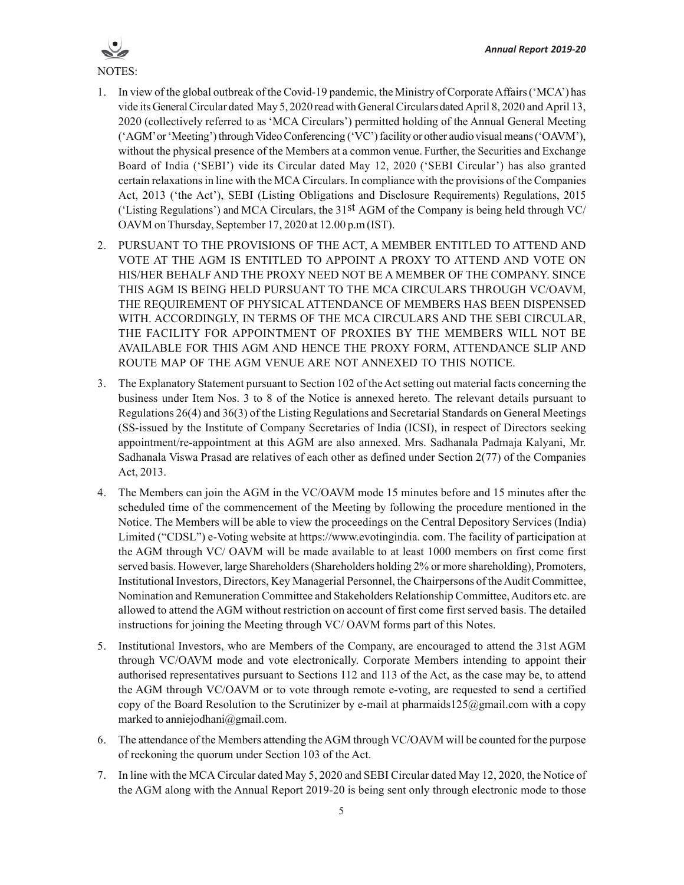

- 1. In view of the global outbreak of the Covid-19 pandemic, the Ministry of Corporate Affairs ('MCA') has vide its General Circular dated May 5, 2020 read with General Circulars dated April 8, 2020 and April 13, 2020 (collectively referred to as 'MCA Circulars') permitted holding of the Annual General Meeting ('AGM' or 'Meeting') through Video Conferencing ('VC') facility or other audio visual means ('OAVM'), without the physical presence of the Members at a common venue. Further, the Securities and Exchange Board of India ('SEBI') vide its Circular dated May 12, 2020 ('SEBI Circular') has also granted certain relaxations in line with the MCA Circulars. In compliance with the provisions of the Companies Act, 2013 ('the Act'), SEBI (Listing Obligations and Disclosure Requirements) Regulations, 2015 ('Listing Regulations') and MCA Circulars, the 31<sup>st</sup> AGM of the Company is being held through VC/ OAVM on Thursday, September 17, 2020 at 12.00 p.m (IST).
- 2. PURSUANT TO THE PROVISIONS OF THE ACT, A MEMBER ENTITLED TO ATTEND AND VOTE AT THE AGM IS ENTITLED TO APPOINT A PROXY TO ATTEND AND VOTE ON HIS/HER BEHALF AND THE PROXY NEED NOT BE A MEMBER OF THE COMPANY. SINCE THIS AGM IS BEING HELD PURSUANT TO THE MCA CIRCULARS THROUGH VC/OAVM, THE REQUIREMENT OF PHYSICAL ATTENDANCE OF MEMBERS HAS BEEN DISPENSED WITH. ACCORDINGLY, IN TERMS OF THE MCA CIRCULARS AND THE SEBI CIRCULAR, THE FACILITY FOR APPOINTMENT OF PROXIES BY THE MEMBERS WILL NOT BE AVAILABLE FOR THIS AGM AND HENCE THE PROXY FORM, ATTENDANCE SLIP AND ROUTE MAP OF THE AGM VENUE ARE NOT ANNEXED TO THIS NOTICE.
- 3. The Explanatory Statement pursuant to Section 102 of the Act setting out material facts concerning the business under Item Nos. 3 to 8 of the Notice is annexed hereto. The relevant details pursuant to Regulations 26(4) and 36(3) of the Listing Regulations and Secretarial Standards on General Meetings (SS-issued by the Institute of Company Secretaries of India (ICSI), in respect of Directors seeking appointment/re-appointment at this AGM are also annexed. Mrs. Sadhanala Padmaja Kalyani, Mr. Sadhanala Viswa Prasad are relatives of each other as defined under Section 2(77) of the Companies Act, 2013.
- 4. The Members can join the AGM in the VC/OAVM mode 15 minutes before and 15 minutes after the scheduled time of the commencement of the Meeting by following the procedure mentioned in the Notice. The Members will be able to view the proceedings on the Central Depository Services (India) Limited ("CDSL") e-Voting website at https://www.evotingindia. com. The facility of participation at the AGM through VC/ OAVM will be made available to at least 1000 members on first come first served basis. However, large Shareholders (Shareholders holding 2% or more shareholding), Promoters, Institutional Investors, Directors, Key Managerial Personnel, the Chairpersons of the Audit Committee, Nomination and Remuneration Committee and Stakeholders Relationship Committee, Auditors etc. are allowed to attend the AGM without restriction on account of first come first served basis. The detailed instructions for joining the Meeting through VC/ OAVM forms part of this Notes.
- 5. Institutional Investors, who are Members of the Company, are encouraged to attend the 31st AGM through VC/OAVM mode and vote electronically. Corporate Members intending to appoint their authorised representatives pursuant to Sections 112 and 113 of the Act, as the case may be, to attend the AGM through VC/OAVM or to vote through remote e-voting, are requested to send a certified copy of the Board Resolution to the Scrutinizer by e-mail at pharmaids125@gmail.com with a copy marked to anniejodhani@gmail.com.
- 6. The attendance of the Members attending the AGM through VC/OAVM will be counted for the purpose of reckoning the quorum under Section 103 of the Act.
- 7. In line with the MCA Circular dated May 5, 2020 and SEBI Circular dated May 12, 2020, the Notice of the AGM along with the Annual Report 2019-20 is being sent only through electronic mode to those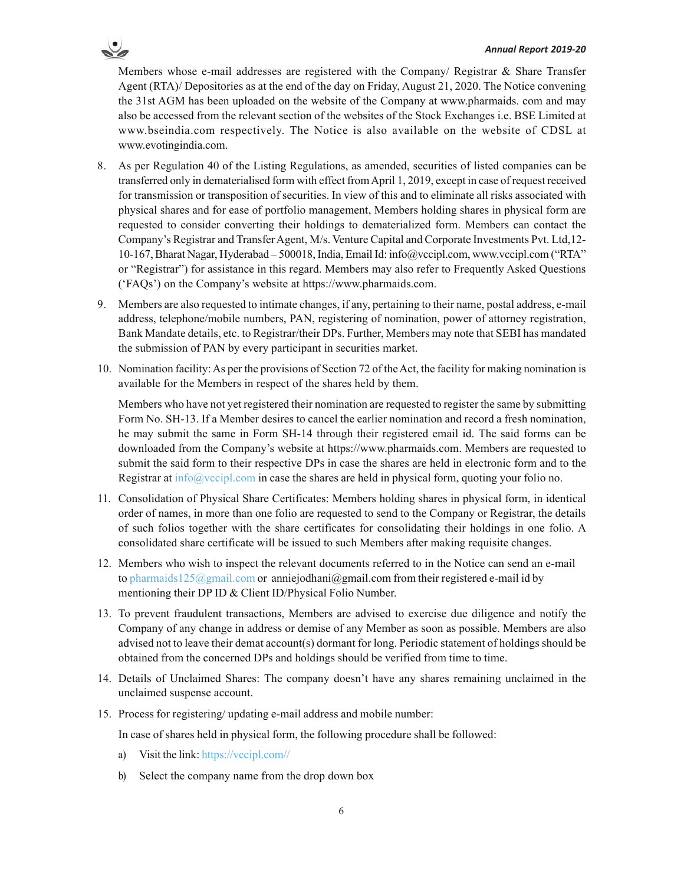

- 8. As per Regulation 40 of the Listing Regulations, as amended, securities of listed companies can be transferred only in dematerialised form with effect from April 1, 2019, except in case of request received for transmission or transposition of securities. In view of this and to eliminate all risks associated with physical shares and for ease of portfolio management, Members holding shares in physical form are requested to consider converting their holdings to dematerialized form. Members can contact the Company's Registrar and Transfer Agent, M/s. Venture Capital and Corporate Investments Pvt. Ltd,12- 10-167, Bharat Nagar, Hyderabad – 500018, India, Email Id: info@vccipl.com, www.vccipl.com ("RTA" or "Registrar") for assistance in this regard. Members may also refer to Frequently Asked Questions ('FAQs') on the Company's website at https://www.pharmaids.com.
- 9. Members are also requested to intimate changes, if any, pertaining to their name, postal address, e-mail address, telephone/mobile numbers, PAN, registering of nomination, power of attorney registration, Bank Mandate details, etc. to Registrar/their DPs. Further, Members may note that SEBI has mandated the submission of PAN by every participant in securities market.
- 10. Nomination facility: As per the provisions of Section 72 of the Act, the facility for making nomination is available for the Members in respect of the shares held by them.

Members who have not yet registered their nomination are requested to register the same by submitting Form No. SH-13. If a Member desires to cancel the earlier nomination and record a fresh nomination, he may submit the same in Form SH-14 through their registered email id. The said forms can be downloaded from the Company's website at https://www.pharmaids.com. Members are requested to submit the said form to their respective DPs in case the shares are held in electronic form and to the Registrar at info@vccipl.com in case the shares are held in physical form, quoting your folio no.

- 11. Consolidation of Physical Share Certificates: Members holding shares in physical form, in identical order of names, in more than one folio are requested to send to the Company or Registrar, the details of such folios together with the share certificates for consolidating their holdings in one folio. A consolidated share certificate will be issued to such Members after making requisite changes.
- 12. Members who wish to inspect the relevant documents referred to in the Notice can send an e-mail to pharmaids125@gmail.com or anniejodhani@gmail.com from their registered e-mail id by mentioning their DP ID & Client ID/Physical Folio Number.
- 13. To prevent fraudulent transactions, Members are advised to exercise due diligence and notify the Company of any change in address or demise of any Member as soon as possible. Members are also advised not to leave their demat account(s) dormant for long. Periodic statement of holdings should be obtained from the concerned DPs and holdings should be verified from time to time.
- 14. Details of Unclaimed Shares: The company doesn't have any shares remaining unclaimed in the unclaimed suspense account.
- 15. Process for registering/ updating e-mail address and mobile number:

In case of shares held in physical form, the following procedure shall be followed:

- a) Visit the link: https://vccipl.com//
- b) Select the company name from the drop down box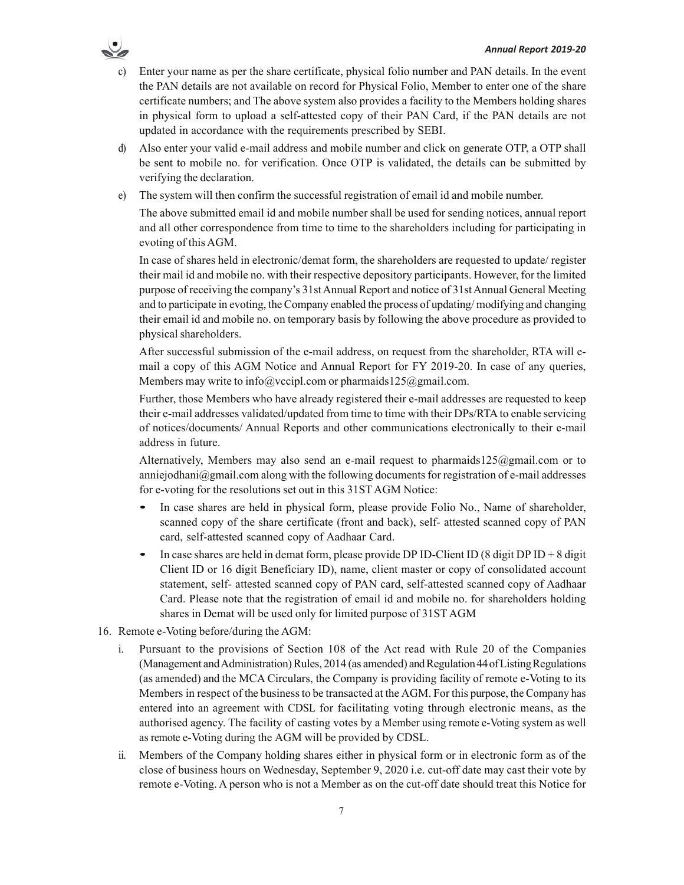

- Enter your name as per the share certificate, physical folio number and PAN details. In the event the PAN details are not available on record for Physical Folio, Member to enter one of the share certificate numbers; and The above system also provides a facility to the Members holding shares in physical form to upload a self-attested copy of their PAN Card, if the PAN details are not updated in accordance with the requirements prescribed by SEBI.
- d) Also enter your valid e-mail address and mobile number and click on generate OTP, a OTP shall be sent to mobile no. for verification. Once OTP is validated, the details can be submitted by verifying the declaration.
- e) The system will then confirm the successful registration of email id and mobile number.

The above submitted email id and mobile number shall be used for sending notices, annual report and all other correspondence from time to time to the shareholders including for participating in evoting of this AGM.

In case of shares held in electronic/demat form, the shareholders are requested to update/ register their mail id and mobile no. with their respective depository participants. However, for the limited purpose of receiving the company's 31st Annual Report and notice of 31st Annual General Meeting and to participate in evoting, the Company enabled the process of updating/ modifying and changing their email id and mobile no. on temporary basis by following the above procedure as provided to physical shareholders.

After successful submission of the e-mail address, on request from the shareholder, RTA will email a copy of this AGM Notice and Annual Report for FY 2019-20. In case of any queries, Members may write to info@vccipl.com or pharmaids125@gmail.com.

Further, those Members who have already registered their e-mail addresses are requested to keep their e-mail addresses validated/updated from time to time with their DPs/RTA to enable servicing of notices/documents/ Annual Reports and other communications electronically to their e-mail address in future.

Alternatively, Members may also send an e-mail request to pharmaids125@gmail.com or to anniejodhani $@$ gmail.com along with the following documents for registration of e-mail addresses for e-voting for the resolutions set out in this 31ST AGM Notice:

- In case shares are held in physical form, please provide Folio No., Name of shareholder, scanned copy of the share certificate (front and back), self- attested scanned copy of PAN card, self-attested scanned copy of Aadhaar Card.
- In case shares are held in demat form, please provide DP ID-Client ID (8 digit DP ID + 8 digit Client ID or 16 digit Beneficiary ID), name, client master or copy of consolidated account statement, self- attested scanned copy of PAN card, self-attested scanned copy of Aadhaar Card. Please note that the registration of email id and mobile no. for shareholders holding shares in Demat will be used only for limited purpose of 31ST AGM
- 16. Remote e-Voting before/during the AGM:
	- i. Pursuant to the provisions of Section 108 of the Act read with Rule 20 of the Companies (Management and Administration) Rules, 2014 (as amended) and Regulation 44 of Listing Regulations (as amended) and the MCA Circulars, the Company is providing facility of remote e-Voting to its Members in respect of the business to be transacted at the AGM. For this purpose, the Company has entered into an agreement with CDSL for facilitating voting through electronic means, as the authorised agency. The facility of casting votes by a Member using remote e-Voting system as well as remote e-Voting during the AGM will be provided by CDSL.
	- ii. Members of the Company holding shares either in physical form or in electronic form as of the close of business hours on Wednesday, September 9, 2020 i.e. cut-off date may cast their vote by remote e-Voting. A person who is not a Member as on the cut-off date should treat this Notice for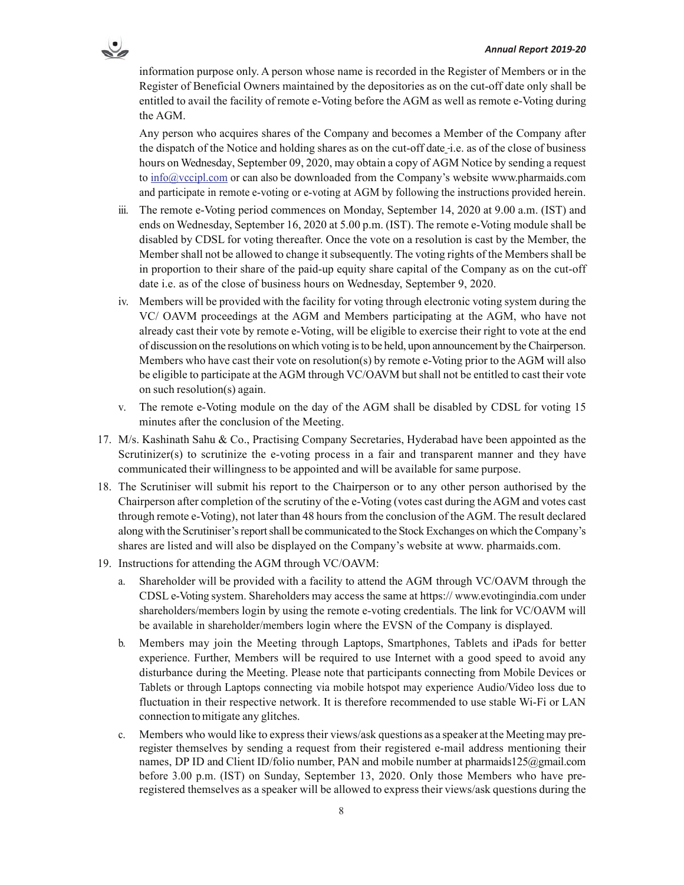

information purpose only. A person whose name is recorded in the Register of Members or in the Register of Beneficial Owners maintained by the depositories as on the cut-off date only shall be entitled to avail the facility of remote e-Voting before the AGM as well as remote e-Voting during the AGM.

Any person who acquires shares of the Company and becomes a Member of the Company after the dispatch of the Notice and holding shares as on the cut-off date i.e. as of the close of business hours on Wednesday, September 09, 2020, may obtain a copy of AGM Notice by sending a request to info@vccipl.com or can also be downloaded from the Company's website www.pharmaids.com and participate in remote e-voting or e-voting at AGM by following the instructions provided herein.

- iii. The remote e-Voting period commences on Monday, September 14, 2020 at 9.00 a.m. (IST) and ends on Wednesday, September 16, 2020 at 5.00 p.m. (IST). The remote e-Voting module shall be disabled by CDSL for voting thereafter. Once the vote on a resolution is cast by the Member, the Member shall not be allowed to change it subsequently. The voting rights of the Members shall be in proportion to their share of the paid-up equity share capital of the Company as on the cut-off date i.e. as of the close of business hours on Wednesday, September 9, 2020.
- iv. Members will be provided with the facility for voting through electronic voting system during the VC/ OAVM proceedings at the AGM and Members participating at the AGM, who have not already cast their vote by remote e-Voting, will be eligible to exercise their right to vote at the end of discussion on the resolutions on which voting is to be held, upon announcement by the Chairperson. Members who have cast their vote on resolution(s) by remote e-Voting prior to the AGM will also be eligible to participate at the AGM through VC/OAVM but shall not be entitled to cast their vote on such resolution(s) again.
- v. The remote e-Voting module on the day of the AGM shall be disabled by CDSL for voting 15 minutes after the conclusion of the Meeting.
- 17. M/s. Kashinath Sahu & Co., Practising Company Secretaries, Hyderabad have been appointed as the Scrutinizer(s) to scrutinize the e-voting process in a fair and transparent manner and they have communicated their willingness to be appointed and will be available for same purpose.
- 18. The Scrutiniser will submit his report to the Chairperson or to any other person authorised by the Chairperson after completion of the scrutiny of the e-Voting (votes cast during the AGM and votes cast through remote e-Voting), not later than 48 hours from the conclusion of the AGM. The result declared along with the Scrutiniser's report shall be communicated to the Stock Exchanges on which the Company's shares are listed and will also be displayed on the Company's website at www. pharmaids.com.
- 19. Instructions for attending the AGM through VC/OAVM:
	- a. Shareholder will be provided with a facility to attend the AGM through VC/OAVM through the CDSL e-Voting system. Shareholders may access the same at https:// www.evotingindia.com under shareholders/members login by using the remote e-voting credentials. The link for VC/OAVM will be available in shareholder/members login where the EVSN of the Company is displayed.
	- b. Members may join the Meeting through Laptops, Smartphones, Tablets and iPads for better experience. Further, Members will be required to use Internet with a good speed to avoid any disturbance during the Meeting. Please note that participants connecting from Mobile Devices or Tablets or through Laptops connecting via mobile hotspot may experience Audio/Video loss due to fluctuation in their respective network. It is therefore recommended to use stable Wi-Fi or LAN connection to mitigate any glitches.
	- c. Members who would like to express their views/ask questions as a speaker at the Meeting may preregister themselves by sending a request from their registered e-mail address mentioning their names, DP ID and Client ID/folio number, PAN and mobile number at pharmaids125@gmail.com before 3.00 p.m. (IST) on Sunday, September 13, 2020. Only those Members who have preregistered themselves as a speaker will be allowed to express their views/ask questions during the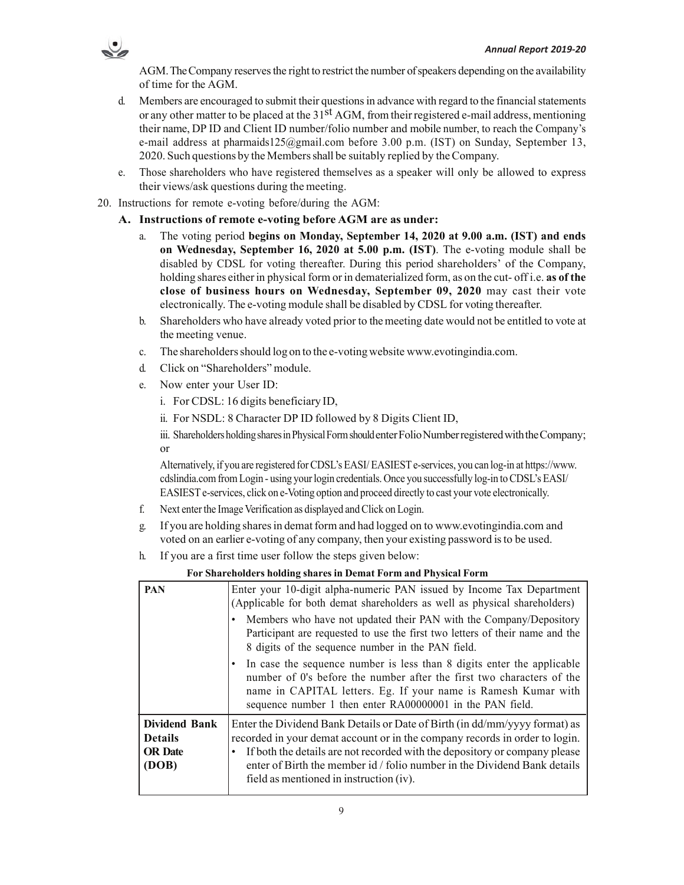

AGM. TheCompany reserves the right to restrict the number of speakers depending on the availability of time for the AGM.

- d. Members are encouraged to submit their questions in advance with regard to the financial statements or any other matter to be placed at the 31<sup>st</sup> AGM, from their registered e-mail address, mentioning their name, DP ID and Client ID number/folio number and mobile number, to reach the Company's e-mail address at pharmaids125@gmail.com before 3.00 p.m. (IST) on Sunday, September 13, 2020. Such questions by the Members shall be suitably replied by the Company.
- e. Those shareholders who have registered themselves as a speaker will only be allowed to express their views/ask questions during the meeting.
- 20. Instructions for remote e-voting before/during the AGM:
	- **A. Instructions of remote e-voting before AGM are as under:**
		- a. The voting period **begins on Monday, September 14, 2020 at 9.00 a.m. (IST) and ends on Wednesday, September 16, 2020 at 5.00 p.m. (IST)**. The e-voting module shall be disabled by CDSL for voting thereafter. During this period shareholders' of the Company, holding shares either in physical form or in dematerialized form, as on the cut- off i.e. **as of the close of business hours on Wednesday, September 09, 2020** may cast their vote electronically. The e-voting module shall be disabled by CDSL for voting thereafter.
		- b. Shareholders who have already voted prior to the meeting date would not be entitled to vote at the meeting venue.
		- c. The shareholders should log on to the e-voting website www.evotingindia.com.
		- d. Click on "Shareholders" module.
		- e. Now enter your User ID:
			- i. For CDSL: 16 digits beneficiary ID,
			- ii. For NSDL: 8 Character DP ID followed by 8 Digits Client ID,

iii. Shareholders holding shares in Physical Form shouldenter Folio Number registered with the Company; or

Alternatively, if you are registered for CDSL's EASI/ EASIEST e-services, you can log-in at https://www. cdslindia.com from Login - using your login credentials. Once you successfully log-in to CDSL's EASI/ EASIEST e-services, click on e-Voting option and proceed directly to cast your vote electronically.

- f. Next enter the Image Verification as displayed and Click on Login.
- g. If you are holding shares in demat form and had logged on to www.evotingindia.com and voted on an earlier e-voting of any company, then your existing password is to be used.
- h. If you are a first time user follow the steps given below:

| <b>PAN</b>                                                 | Enter your 10-digit alpha-numeric PAN issued by Income Tax Department<br>(Applicable for both demat shareholders as well as physical shareholders)                                                                                                                                                                                                             |
|------------------------------------------------------------|----------------------------------------------------------------------------------------------------------------------------------------------------------------------------------------------------------------------------------------------------------------------------------------------------------------------------------------------------------------|
|                                                            | Members who have not updated their PAN with the Company/Depository<br>Participant are requested to use the first two letters of their name and the<br>8 digits of the sequence number in the PAN field.                                                                                                                                                        |
|                                                            | In case the sequence number is less than 8 digits enter the applicable<br>number of 0's before the number after the first two characters of the<br>name in CAPITAL letters. Eg. If your name is Ramesh Kumar with<br>sequence number 1 then enter RA00000001 in the PAN field.                                                                                 |
| Dividend Bank<br><b>Details</b><br><b>OR</b> Date<br>(DOB) | Enter the Dividend Bank Details or Date of Birth (in dd/mm/yyyy format) as<br>recorded in your demat account or in the company records in order to login.<br>If both the details are not recorded with the depository or company please<br>enter of Birth the member id / folio number in the Dividend Bank details<br>field as mentioned in instruction (iv). |

 **For Shareholders holding shares in Demat Form and Physical Form**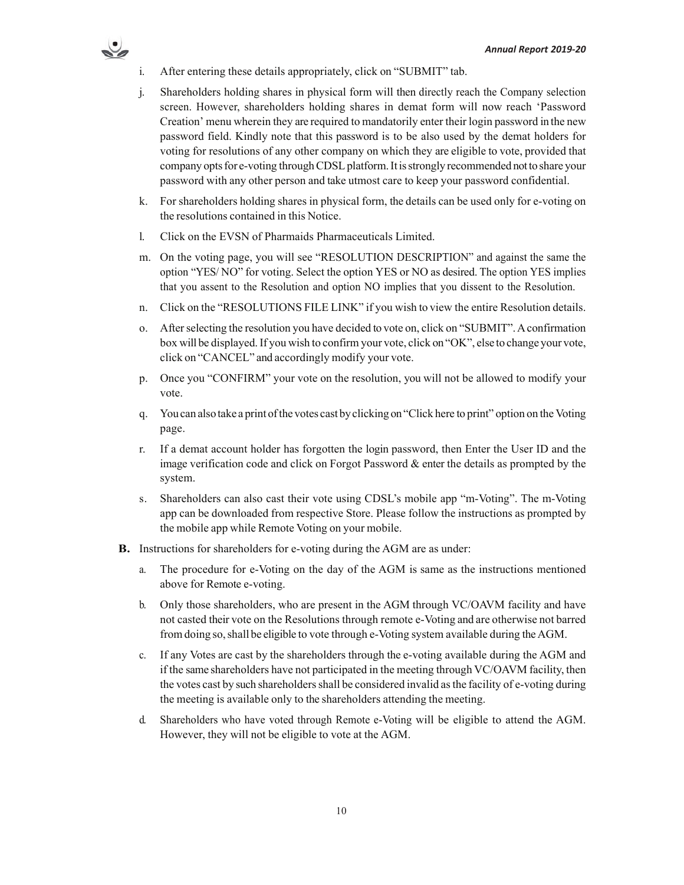

- i. After entering these details appropriately, click on "SUBMIT" tab.
- j. Shareholders holding shares in physical form will then directly reach the Company selection screen. However, shareholders holding shares in demat form will now reach 'Password Creation' menu wherein they are required to mandatorily enter their login password in the new password field. Kindly note that this password is to be also used by the demat holders for voting for resolutions of any other company on which they are eligible to vote, provided that company opts for e-voting through CDSL platform. It is strongly recommended not to share your password with any other person and take utmost care to keep your password confidential.
- k. For shareholders holding shares in physical form, the details can be used only for e-voting on the resolutions contained in this Notice.
- l. Click on the EVSN of Pharmaids Pharmaceuticals Limited.
- m. On the voting page, you will see "RESOLUTION DESCRIPTION" and against the same the option "YES/ NO" for voting. Select the option YES or NO as desired. The option YES implies that you assent to the Resolution and option NO implies that you dissent to the Resolution.
- n. Click on the "RESOLUTIONS FILE LINK" if you wish to view the entire Resolution details.
- o. After selecting the resolution you have decided to vote on, click on "SUBMIT". A confirmation box will be displayed. If you wish to confirm your vote, click on "OK", else to change your vote, click on "CANCEL" and accordingly modify your vote.
- p. Once you "CONFIRM" your vote on the resolution, you will not be allowed to modify your vote.
- q. You can also take a print of the votes cast by clicking on "Click here to print" option on the Voting page.
- r. If a demat account holder has forgotten the login password, then Enter the User ID and the image verification code and click on Forgot Password  $\&$  enter the details as prompted by the system.
- s. Shareholders can also cast their vote using CDSL's mobile app "m-Voting". The m-Voting app can be downloaded from respective Store. Please follow the instructions as prompted by the mobile app while Remote Voting on your mobile.
- **B.** Instructions for shareholders for e-voting during the AGM are as under:
	- a. The procedure for e-Voting on the day of the AGM is same as the instructions mentioned above for Remote e-voting.
	- b. Only those shareholders, who are present in the AGM through VC/OAVM facility and have not casted their vote on the Resolutions through remote e-Voting and are otherwise not barred from doing so, shall be eligible to vote through e-Voting system available during the AGM.
	- c. If any Votes are cast by the shareholders through the e-voting available during the AGM and if the same shareholders have not participated in the meeting through VC/OAVM facility, then the votes cast by such shareholders shall be considered invalid as the facility of e-voting during the meeting is available only to the shareholders attending the meeting.
	- d. Shareholders who have voted through Remote e-Voting will be eligible to attend the AGM. However, they will not be eligible to vote at the AGM.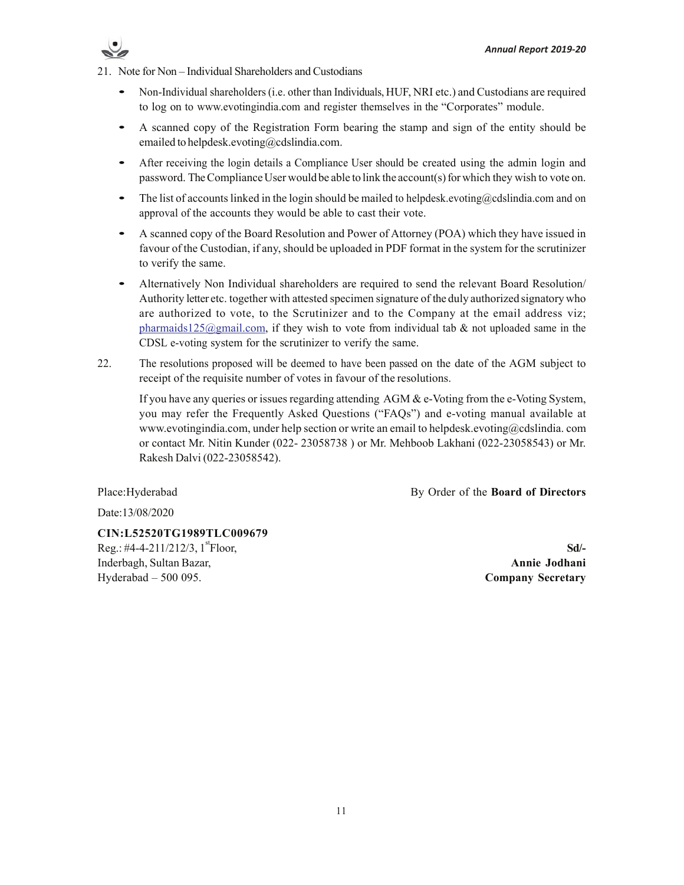

21. Note for Non – Individual Shareholders and Custodians

- Non-Individual shareholders (i.e. other than Individuals, HUF, NRI etc.) and Custodians are required to log on to www.evotingindia.com and register themselves in the "Corporates" module.
- A scanned copy of the Registration Form bearing the stamp and sign of the entity should be emailed to helpdesk.evoting@cdslindia.com.
- After receiving the login details a Compliance User should be created using the admin login and password. The Compliance User would be able to link the account(s) for which they wish to vote on.
- The list of accounts linked in the login should be mailed to helpdesk, evoting  $@cds$  lindia.com and on approval of the accounts they would be able to cast their vote.
- A scanned copy of the Board Resolution and Power of Attorney (POA) which they have issued in favour of the Custodian, if any, should be uploaded in PDF format in the system for the scrutinizer to verify the same.
- Alternatively Non Individual shareholders are required to send the relevant Board Resolution/ Authority letter etc. together with attested specimen signature of the duly authorized signatory who are authorized to vote, to the Scrutinizer and to the Company at the email address viz; pharmaids125@gmail.com, if they wish to vote from individual tab  $\&$  not uploaded same in the CDSL e-voting system for the scrutinizer to verify the same.
- 22. The resolutions proposed will be deemed to have been passed on the date of the AGM subject to receipt of the requisite number of votes in favour of the resolutions.

If you have any queries or issues regarding attending  $AGM \& e$ -Voting from the e-Voting System, you may refer the Frequently Asked Questions ("FAQs") and e-voting manual available at www.evotingindia.com, under help section or write an email to helpdesk.evoting@cdslindia. com or contact Mr. Nitin Kunder (022- 23058738 ) or Mr. Mehboob Lakhani (022-23058543) or Mr. Rakesh Dalvi (022-23058542).

Place:Hyderabad By Order of the **Board of Directors**

Date:13/08/2020

**CIN:L52520TG1989TLC009679**  $\text{Reg.}: \#4-4-211/212/3, 1 \text{ }^{\text{st}}\text{Floor}, \quad \text{Sd}/4$ Inderbagh, Sultan Bazar, **Annie Jodhani** Hyderabad – 500 095. **Company Secretary**